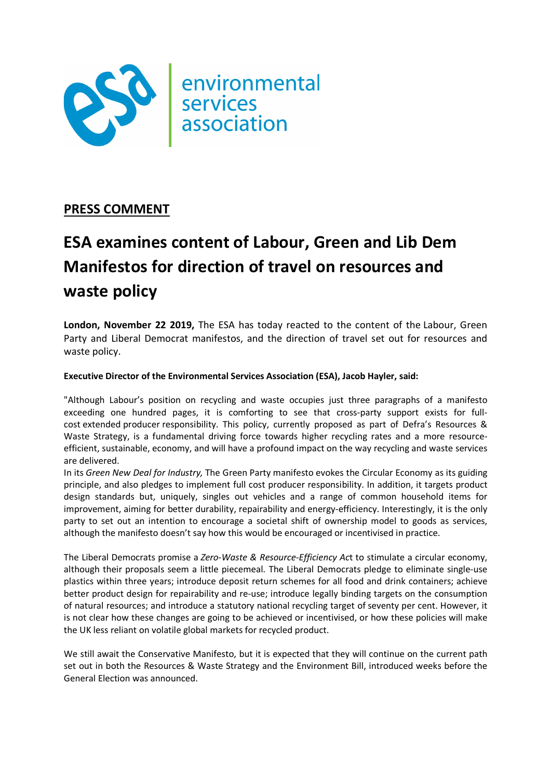

## PRESS COMMENT

# ESA examines content of Labour, Green and Lib Dem Manifestos for direction of travel on resources and waste policy

London, November 22 2019, The ESA has today reacted to the content of the Labour, Green Party and Liberal Democrat manifestos, and the direction of travel set out for resources and waste policy.

#### Executive Director of the Environmental Services Association (ESA), Jacob Hayler, said:

"Although Labour's position on recycling and waste occupies just three paragraphs of a manifesto exceeding one hundred pages, it is comforting to see that cross-party support exists for fullcost extended producer responsibility. This policy, currently proposed as part of Defra's Resources & Waste Strategy, is a fundamental driving force towards higher recycling rates and a more resourceefficient, sustainable, economy, and will have a profound impact on the way recycling and waste services are delivered.

In its Green New Deal for Industry, The Green Party manifesto evokes the Circular Economy as its guiding principle, and also pledges to implement full cost producer responsibility. In addition, it targets product design standards but, uniquely, singles out vehicles and a range of common household items for improvement, aiming for better durability, repairability and energy-efficiency. Interestingly, it is the only party to set out an intention to encourage a societal shift of ownership model to goods as services, although the manifesto doesn't say how this would be encouraged or incentivised in practice.

The Liberal Democrats promise a Zero-Waste & Resource-Efficiency Act to stimulate a circular economy, although their proposals seem a little piecemeal. The Liberal Democrats pledge to eliminate single-use plastics within three years; introduce deposit return schemes for all food and drink containers; achieve better product design for repairability and re-use; introduce legally binding targets on the consumption of natural resources; and introduce a statutory national recycling target of seventy per cent. However, it is not clear how these changes are going to be achieved or incentivised, or how these policies will make the UK less reliant on volatile global markets for recycled product.

We still await the Conservative Manifesto, but it is expected that they will continue on the current path set out in both the Resources & Waste Strategy and the Environment Bill, introduced weeks before the General Election was announced.